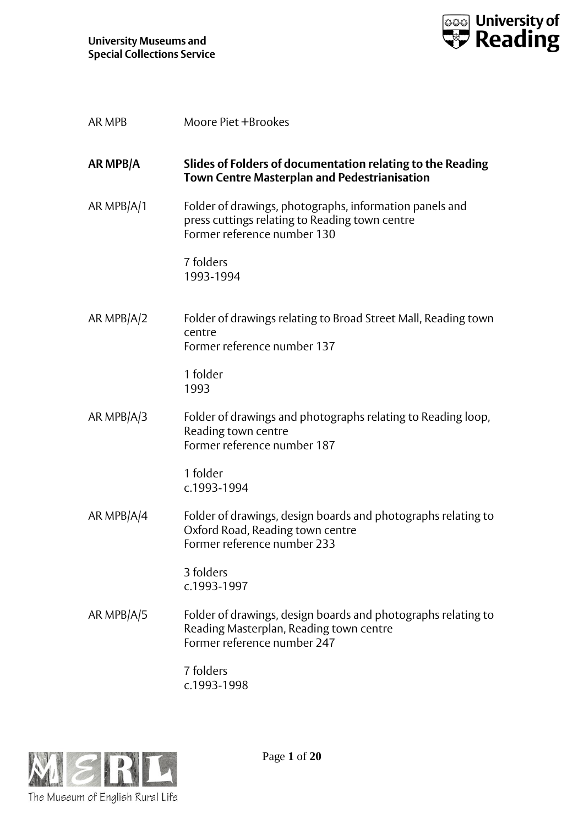

| <b>AR MPB</b> | Moore Piet +Brookes                                                                                                                      |
|---------------|------------------------------------------------------------------------------------------------------------------------------------------|
| AR MPB/A      | Slides of Folders of documentation relating to the Reading<br><b>Town Centre Masterplan and Pedestrianisation</b>                        |
| AR MPB/A/1    | Folder of drawings, photographs, information panels and<br>press cuttings relating to Reading town centre<br>Former reference number 130 |
|               | 7 folders<br>1993-1994                                                                                                                   |
| AR MPB $A/2$  | Folder of drawings relating to Broad Street Mall, Reading town<br>centre<br>Former reference number 137                                  |
|               | 1 folder<br>1993                                                                                                                         |
| AR MPB/A/3    | Folder of drawings and photographs relating to Reading loop,<br>Reading town centre<br>Former reference number 187                       |
|               | 1 folder<br>c.1993-1994                                                                                                                  |
| AR MPB/A/4    | Folder of drawings, design boards and photographs relating to<br>Oxford Road, Reading town centre<br>Former reference number 233         |
|               | 3 folders<br>c.1993-1997                                                                                                                 |
| AR MPB/A/5    | Folder of drawings, design boards and photographs relating to<br>Reading Masterplan, Reading town centre<br>Former reference number 247  |
|               | 7 folders<br>c.1993-1998                                                                                                                 |

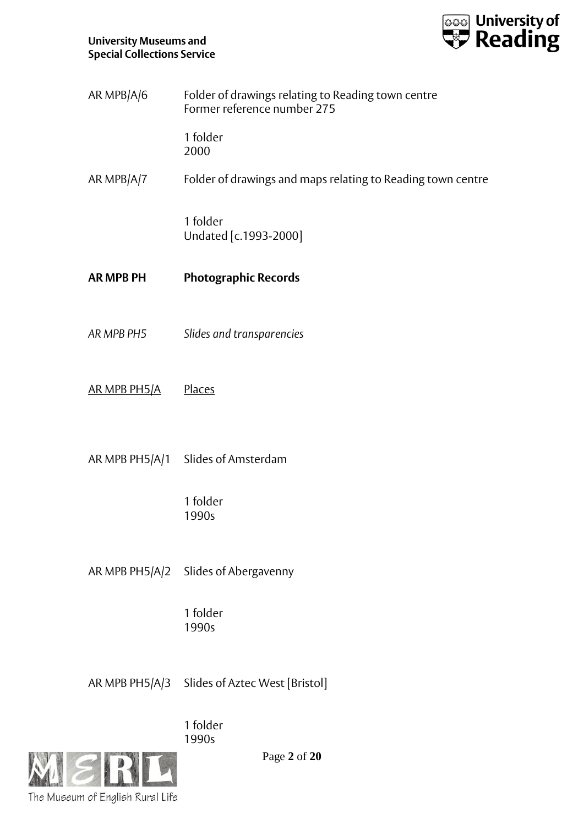

| AR MPB/A/6 | Folder of drawings relating to Reading town centre<br>Former reference number 275 |
|------------|-----------------------------------------------------------------------------------|
|            |                                                                                   |

1 folder 2000

AR MPB/A/7 Folder of drawings and maps relating to Reading town centre

1 folder Undated [c.1993-2000]

- **AR MPB PH Photographic Records**
- *AR MPB PH5 Slides and transparencies*
- AR MPB PH5/A Places
- AR MPB PH5/A/1 Slides of Amsterdam

1 folder 1990s

AR MPB PH5/A/2 Slides of Abergavenny

1 folder 1990s

AR MPB PH5/A/3 Slides of Aztec West [Bristol]

1 folder 1990s



Page **2** of **20**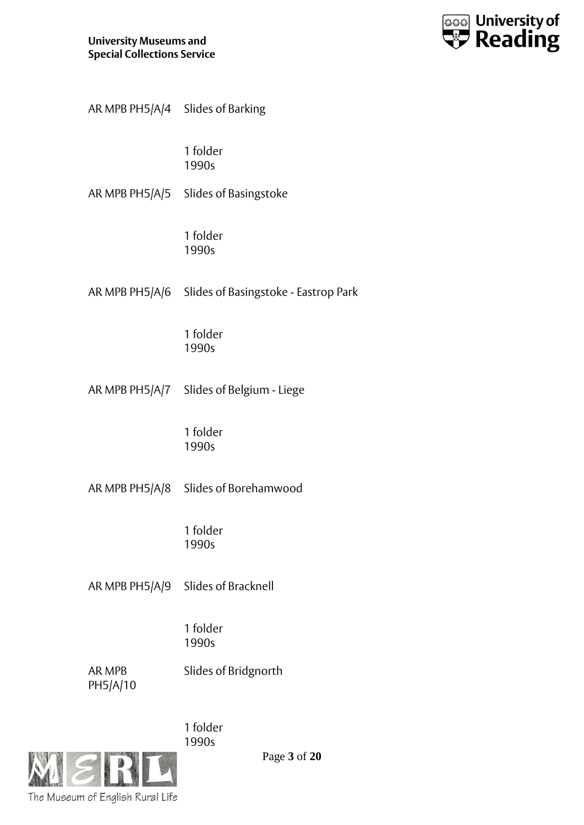

| AR MPB PH5/A/4 Slides of Barking |                                                     |
|----------------------------------|-----------------------------------------------------|
|                                  | 1 folder<br>1990s                                   |
|                                  | AR MPB PH5/A/5 Slides of Basingstoke                |
|                                  | 1 folder<br>1990s                                   |
|                                  | AR MPB PH5/A/6 Slides of Basingstoke - Eastrop Park |
|                                  | 1 folder<br>1990s                                   |
|                                  | AR MPB PH5/A/7 Slides of Belgium - Liege            |
|                                  | 1 folder<br>1990s                                   |
|                                  | AR MPB PH5/A/8 Slides of Borehamwood                |
|                                  | 1 folder<br>1990s                                   |
|                                  | AR MPB PH5/A/9 Slides of Bracknell                  |
|                                  | 1 folder<br>1990s                                   |
| AR MPB<br>PH5/A/10               | Slides of Bridgnorth                                |
|                                  | 1 folder<br>1990s                                   |



Page **3** of **20**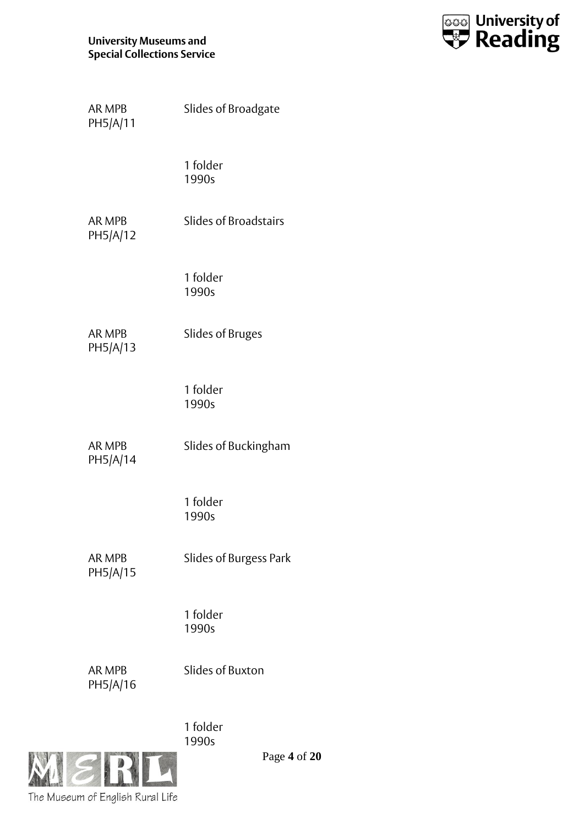

| AR MPB<br>PH5/A/11        | Slides of Broadgate          |
|---------------------------|------------------------------|
|                           | 1 folder<br>1990s            |
| <b>AR MPB</b><br>PH5/A/12 | <b>Slides of Broadstairs</b> |
|                           | 1 folder<br>1990s            |
| AR MPB<br>PH5/A/13        | <b>Slides of Bruges</b>      |
|                           | 1 folder<br>1990s            |
| <b>AR MPB</b><br>PH5/A/14 | Slides of Buckingham         |
|                           | 1 folder<br>1990s            |
| <b>AR MPB</b><br>PH5/A/15 | Slides of Burgess Park       |
|                           | 1 folder<br>1990s            |
| <b>AR MPB</b><br>PH5/A/16 | <b>Slides of Buxton</b>      |
|                           | 1 folder                     |



Page **4** of **20**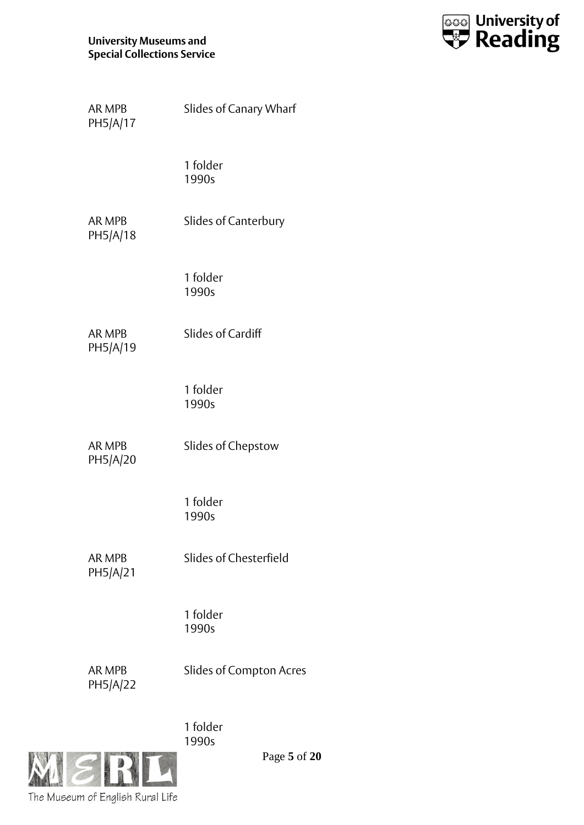

| AR MPB<br>PH5/A/17        | Slides of Canary Wharf         |
|---------------------------|--------------------------------|
|                           | 1 folder<br>1990s              |
| AR MPB<br>PH5/A/18        | Slides of Canterbury           |
|                           | 1 folder<br>1990s              |
| <b>AR MPB</b><br>PH5/A/19 | Slides of Cardiff              |
|                           | 1 folder<br>1990s              |
| <b>AR MPB</b><br>PH5/A/20 | Slides of Chepstow             |
|                           | 1 folder<br>1990s              |
| <b>AR MPB</b><br>PH5/A/21 | Slides of Chesterfield         |
|                           | 1 folder<br>1990s              |
| <b>AR MPB</b><br>PH5/A/22 | <b>Slides of Compton Acres</b> |
|                           | 1 folder                       |

The Museum of English Rural Life

Page **5** of **20**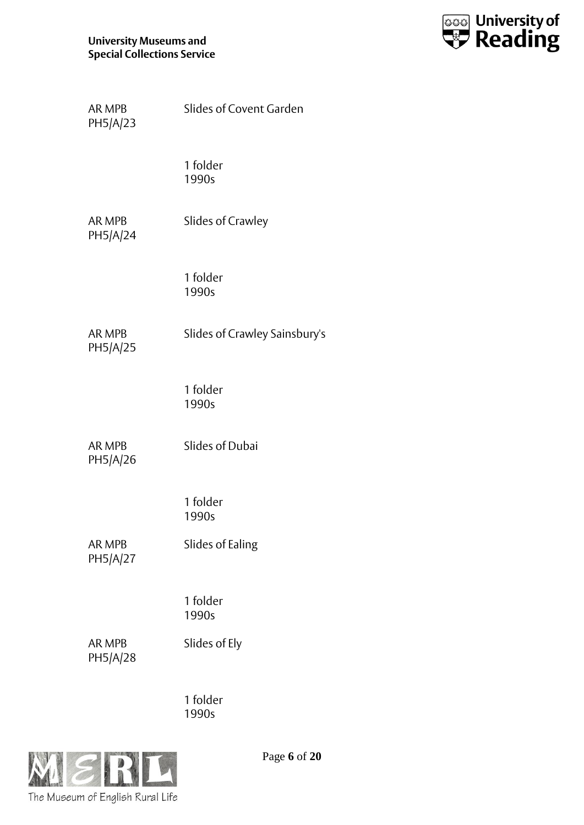

| AR MPB<br>PH5/A/23        | Slides of Covent Garden       |
|---------------------------|-------------------------------|
|                           | 1 folder<br>1990s             |
| <b>AR MPB</b><br>PH5/A/24 | Slides of Crawley             |
|                           | 1 folder<br>1990s             |
| <b>AR MPB</b><br>PH5/A/25 | Slides of Crawley Sainsbury's |
|                           | 1 folder<br>1990s             |
| AR MPB<br>PH5/A/26        | <b>Slides of Dubai</b>        |
|                           | 1 folder<br>1990s             |
| AR MPB<br>PH5/A/27        | Slides of Ealing              |
|                           | 1 folder<br>1990s             |
| AR MPB<br>PH5/A/28        | Slides of Ely                 |
|                           | 1 folder<br>1990s             |



Page **6** of **20**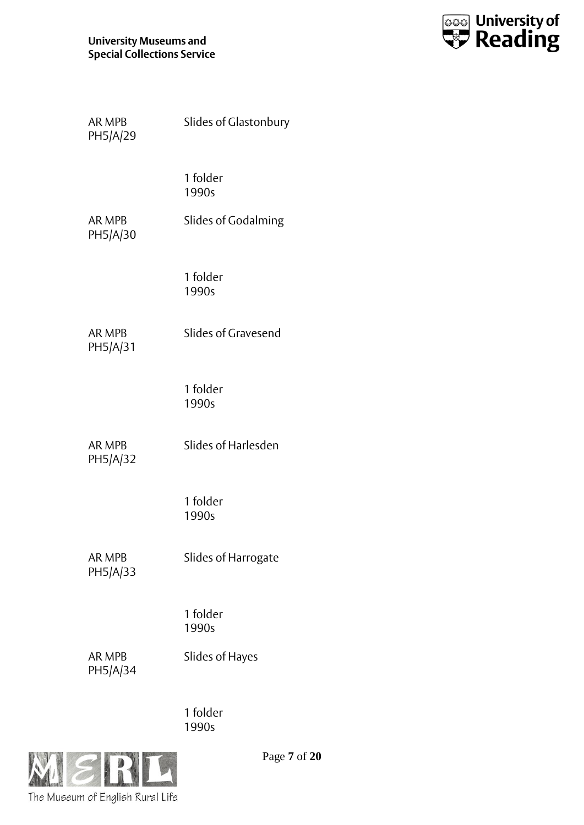

| <b>AR MPB</b><br>PH5/A/29 | Slides of Glastonbury      |
|---------------------------|----------------------------|
|                           | 1 folder<br>1990s          |
| <b>AR MPB</b><br>PH5/A/30 | <b>Slides of Godalming</b> |
|                           | 1 folder<br>1990s          |
| <b>AR MPB</b><br>PH5/A/31 | Slides of Gravesend        |
|                           | 1 folder<br>1990s          |
| AR MPB<br>PH5/A/32        | Slides of Harlesden        |
|                           | 1 folder<br>1990s          |
| <b>AR MPB</b><br>PH5/A/33 | Slides of Harrogate        |
|                           | 1 folder<br>1990s          |
| AR MPB<br>PH5/A/34        | <b>Slides of Hayes</b>     |
|                           | 1 folder                   |



Page **7** of **20**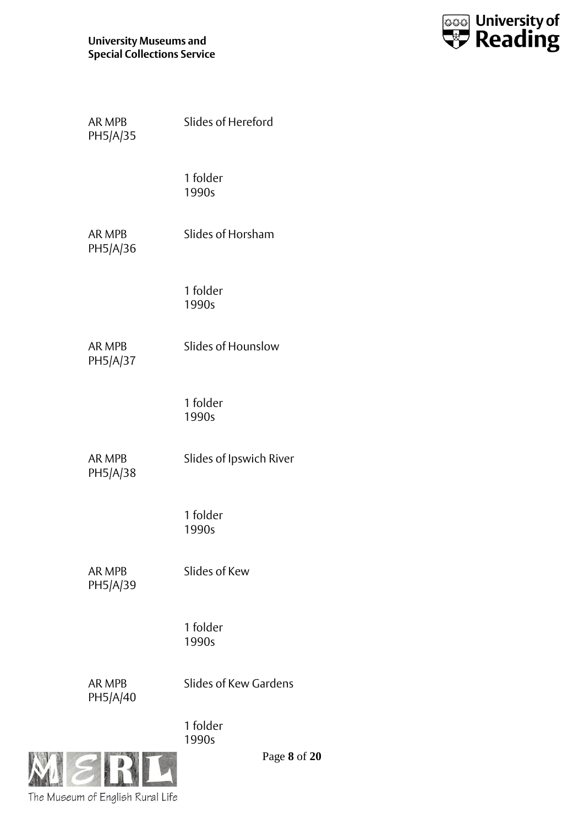

| <b>AR MPB</b><br>PH5/A/35 | Slides of Hereford      |
|---------------------------|-------------------------|
|                           | 1 folder<br>1990s       |
| <b>AR MPB</b><br>PH5/A/36 | Slides of Horsham       |
|                           | 1 folder<br>1990s       |
| AR MPB<br>PH5/A/37        | Slides of Hounslow      |
|                           | 1 folder<br>1990s       |
| AR MPB<br>PH5/A/38        | Slides of Ipswich River |
|                           | 1 folder<br>1990s       |
| AR MPB<br>PH5/A/39        | Slides of Kew           |
|                           | 1 folder<br>1990s       |
| <b>AR MPB</b><br>PH5/A/40 | Slides of Kew Gardens   |
|                           | 1 folder<br>1990s       |



Page **8** of **20**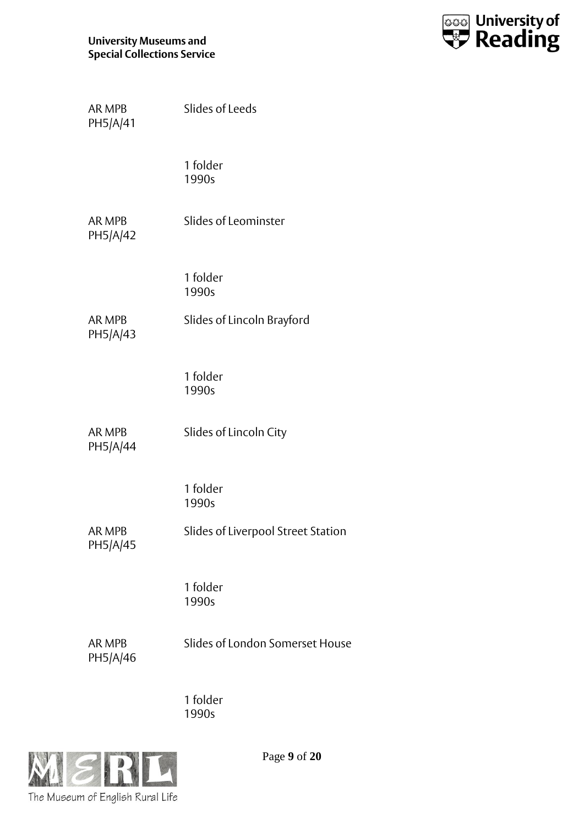

| AR MPB<br>PH5/A/41 | Slides of Leeds                    |
|--------------------|------------------------------------|
|                    | 1 folder<br>1990s                  |
| AR MPB<br>PH5/A/42 | Slides of Leominster               |
|                    | 1 folder<br>1990s                  |
| AR MPB<br>PH5/A/43 | Slides of Lincoln Brayford         |
|                    | 1 folder<br>1990s                  |
| AR MPB<br>PH5/A/44 | Slides of Lincoln City             |
|                    | 1 folder<br>1990s                  |
| AR MPB<br>PH5/A/45 | Slides of Liverpool Street Station |
|                    | 1 folder<br>1990s                  |
| AR MPB<br>PH5/A/46 | Slides of London Somerset House    |
|                    | 1 folder<br>1990s                  |



Page **9** of **20**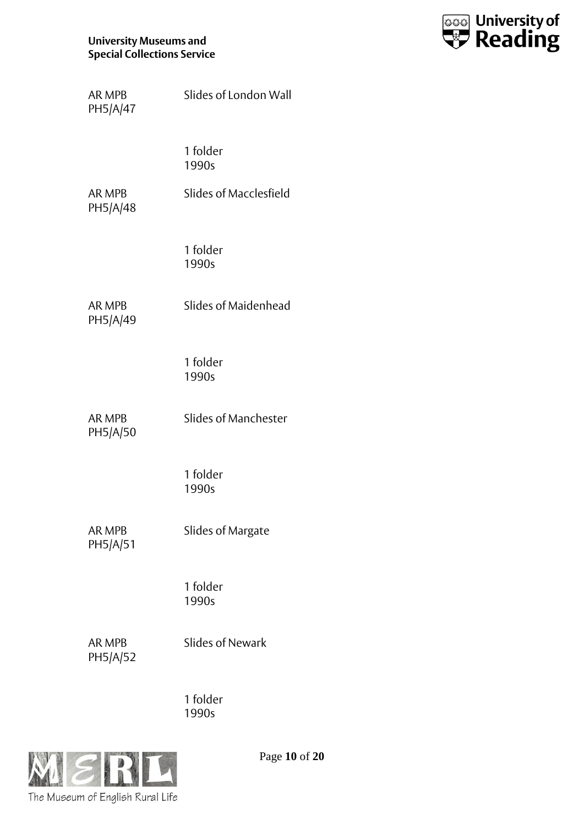

| <b>AR MPB</b><br>PH5/A/47 | Slides of London Wall  |
|---------------------------|------------------------|
|                           | 1 folder<br>1990s      |
| AR MPB<br>PH5/A/48        | Slides of Macclesfield |
|                           | 1 folder<br>1990s      |
| <b>AR MPB</b><br>PH5/A/49 | Slides of Maidenhead   |
|                           | 1 folder<br>1990s      |
| <b>AR MPB</b><br>PH5/A/50 | Slides of Manchester   |
|                           | 1 folder<br>1990s      |
| <b>AR MPB</b><br>PH5/A/51 | Slides of Margate      |
|                           | 1 folder<br>1990s      |
| AR MPB<br>PH5/A/52        | Slides of Newark       |
|                           | 1 folder               |



Page **10** of **20**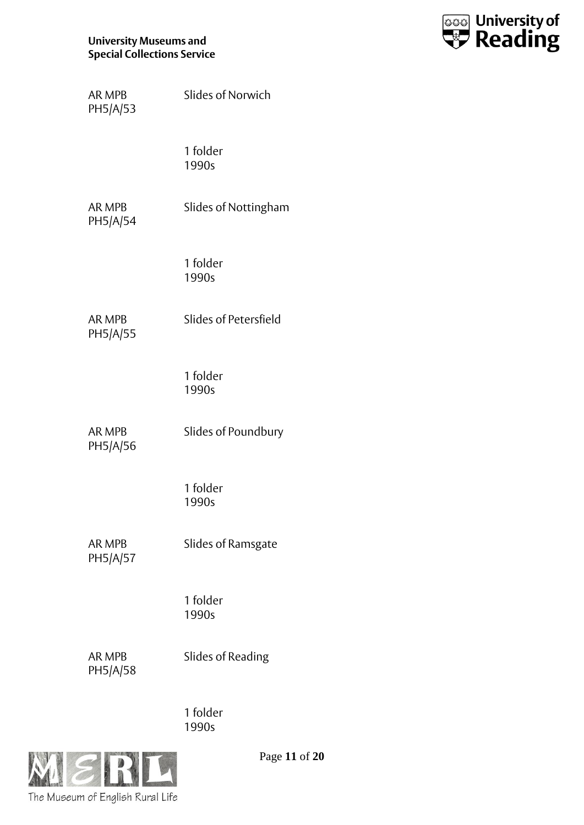

| AR MPB<br>PH5/A/53        | <b>Slides of Norwich</b> |
|---------------------------|--------------------------|
|                           | 1 folder<br>1990s        |
| AR MPB<br>PH5/A/54        | Slides of Nottingham     |
|                           | 1 folder<br>1990s        |
| AR MPB<br>PH5/A/55        | Slides of Petersfield    |
|                           | 1 folder<br>1990s        |
| AR MPB<br>PH5/A/56        | Slides of Poundbury      |
|                           | 1 folder<br>1990s        |
| AR MPB<br>PH5/A/57        | Slides of Ramsgate       |
|                           | 1 folder<br>1990s        |
| <b>AR MPB</b><br>PH5/A/58 | Slides of Reading        |



Page **11** of **20**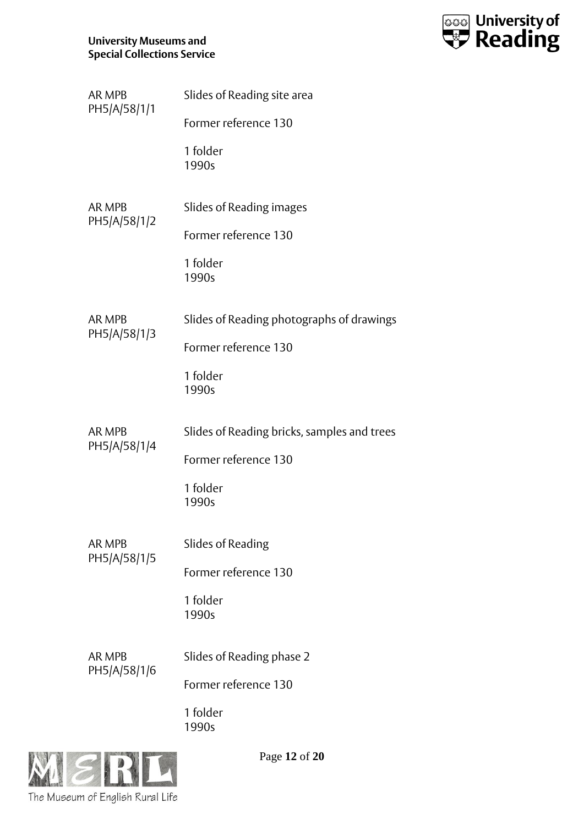

| AR MPB<br>PH5/A/58/1/1 | Slides of Reading site area                 |
|------------------------|---------------------------------------------|
|                        | Former reference 130                        |
|                        | 1 folder<br>1990s                           |
| AR MPB                 | Slides of Reading images                    |
| PH5/A/58/1/2           | Former reference 130                        |
|                        | 1 folder<br>1990s                           |
| <b>AR MPB</b>          | Slides of Reading photographs of drawings   |
| PH5/A/58/1/3           | Former reference 130                        |
|                        | 1 folder<br>1990s                           |
| AR MPB                 | Slides of Reading bricks, samples and trees |
| PH5/A/58/1/4           | Former reference 130                        |
|                        | 1 folder<br>1990s                           |
| <b>AR MPB</b>          | Slides of Reading                           |
| PH5/A/58/1/5           | Former reference 130                        |
|                        | 1 folder<br>1990s                           |
| <b>AR MPB</b>          | Slides of Reading phase 2                   |
| PH5/A/58/1/6           | Former reference 130                        |
|                        | 1 folder<br>1990s                           |



Page **12** of **20**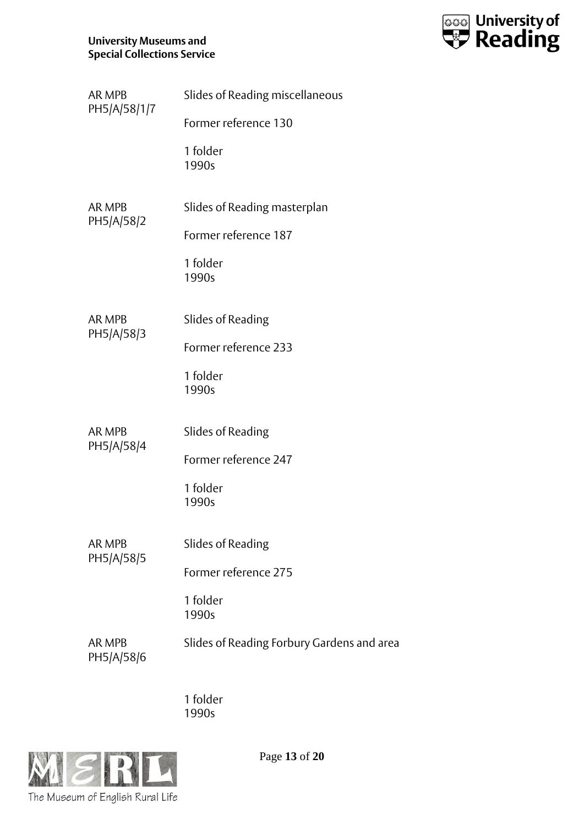

| AR MPB<br>PH5/A/58/1/7      | Slides of Reading miscellaneous            |
|-----------------------------|--------------------------------------------|
|                             | Former reference 130                       |
|                             | 1 folder<br>1990s                          |
| <b>AR MPB</b><br>PH5/A/58/2 | Slides of Reading masterplan               |
|                             | Former reference 187                       |
|                             | 1 folder<br>1990s                          |
| <b>AR MPB</b>               | Slides of Reading                          |
| PH5/A/58/3                  | Former reference 233                       |
|                             | 1 folder<br>1990s                          |
| AR MPB                      | Slides of Reading                          |
| PH5/A/58/4                  | Former reference 247                       |
|                             | 1 folder<br>1990s                          |
| AR MPB<br>PH5/A/58/5        | Slides of Reading                          |
|                             | Former reference 275                       |
|                             | 1 folder<br>1990s                          |
| AR MPB<br>PH5/A/58/6        | Slides of Reading Forbury Gardens and area |
|                             |                                            |



Page **13** of **20**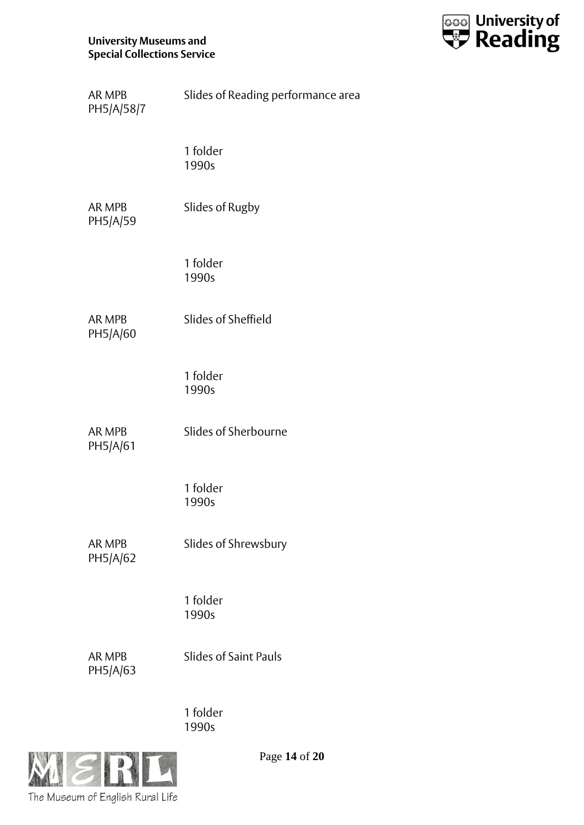

| AR MPB<br>PH5/A/58/7      | Slides of Reading performance area |
|---------------------------|------------------------------------|
|                           | 1 folder<br>1990s                  |
| AR MPB<br>PH5/A/59        | Slides of Rugby                    |
|                           | 1 folder<br>1990s                  |
| AR MPB<br>PH5/A/60        | Slides of Sheffield                |
|                           | 1 folder<br>1990s                  |
| AR MPB<br>PH5/A/61        | Slides of Sherbourne               |
|                           | 1 folder<br>1990s                  |
| AR MPB<br>PH5/A/62        | Slides of Shrewsbury               |
|                           | 1 folder<br>1990s                  |
| <b>AR MPB</b><br>PH5/A/63 | <b>Slides of Saint Pauls</b>       |
|                           | 1 folder<br>1990s                  |



Page **14** of **20**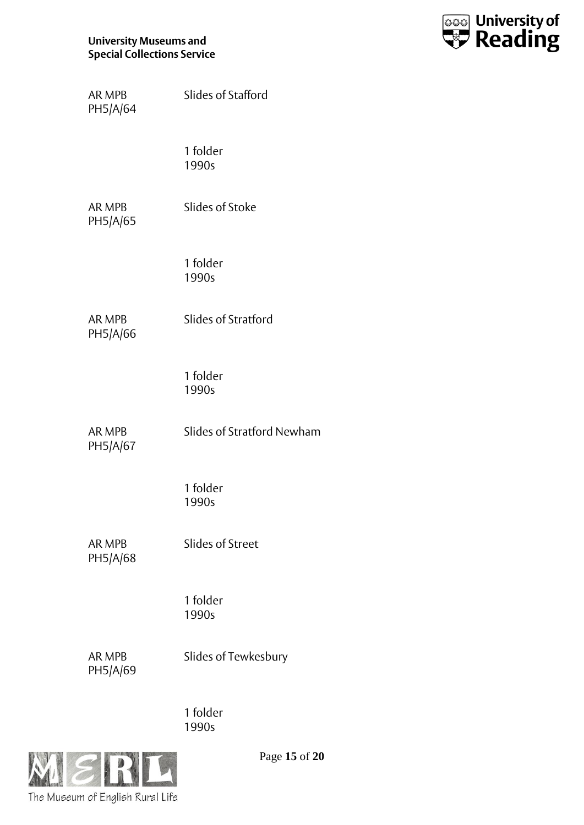

| AR MPB<br>PH5/A/64        | Slides of Stafford         |
|---------------------------|----------------------------|
|                           | 1 folder<br>1990s          |
| AR MPB<br>PH5/A/65        | Slides of Stoke            |
|                           | 1 folder<br>1990s          |
| AR MPB<br>PH5/A/66        | Slides of Stratford        |
|                           | 1 folder<br>1990s          |
| AR MPB<br>PH5/A/67        | Slides of Stratford Newham |
|                           | 1 folder<br>1990s          |
| <b>AR MPB</b><br>PH5/A/68 | <b>Slides of Street</b>    |
|                           | 1 folder<br>1990s          |
| AR MPB<br>PH5/A/69        | Slides of Tewkesbury       |
|                           | 1 folder                   |



Page **15** of **20**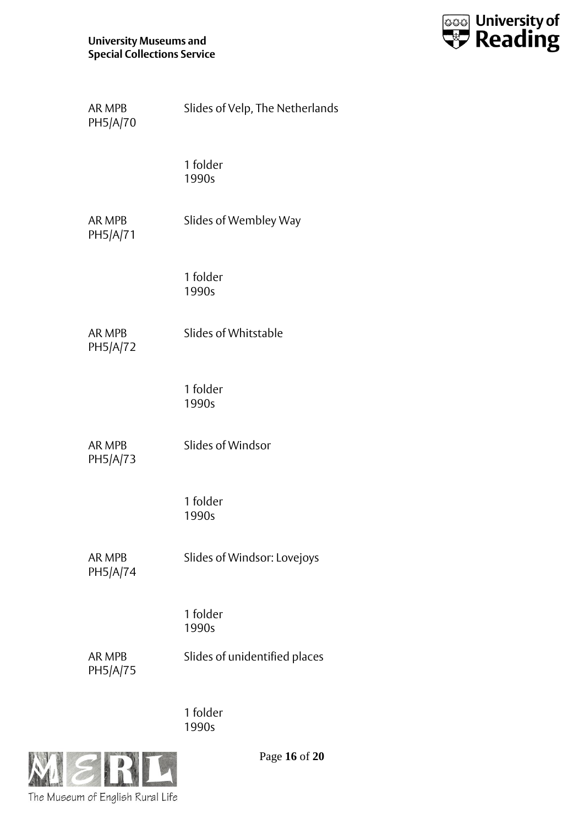

| <b>AR MPB</b><br>PH5/A/70 | Slides of Velp, The Netherlands |
|---------------------------|---------------------------------|
|                           | 1 folder<br>1990s               |
| AR MPB<br>PH5/A/71        | Slides of Wembley Way           |
|                           | 1 folder<br>1990s               |
| <b>AR MPB</b><br>PH5/A/72 | Slides of Whitstable            |
|                           | 1 folder<br>1990s               |
| AR MPB<br>PH5/A/73        | Slides of Windsor               |
|                           | 1 folder<br>1990s               |
| <b>AR MPB</b><br>PH5/A/74 | Slides of Windsor: Lovejoys     |
|                           | 1 folder<br>1990s               |
| AR MPB<br>PH5/A/75        | Slides of unidentified places   |
|                           | 1 folder<br>1990s               |



Page **16** of **20**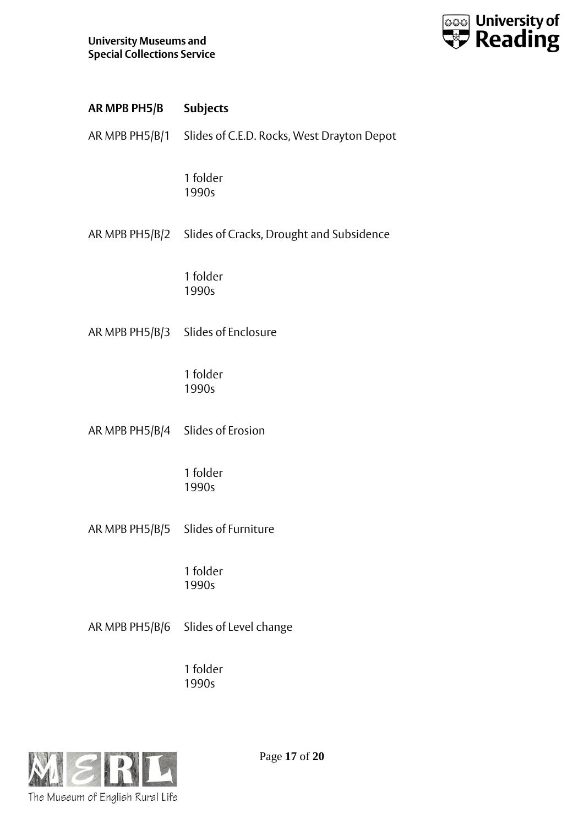

| AR MPB PH5/B                     | <b>Subjects</b>                                           |
|----------------------------------|-----------------------------------------------------------|
|                                  | AR MPB PH5/B/1 Slides of C.E.D. Rocks, West Drayton Depot |
|                                  | 1 folder<br>1990s                                         |
|                                  | AR MPB PH5/B/2 Slides of Cracks, Drought and Subsidence   |
|                                  | 1 folder<br>1990s                                         |
|                                  | AR MPB PH5/B/3 Slides of Enclosure                        |
|                                  | 1 folder<br>1990s                                         |
| AR MPB PH5/B/4 Slides of Erosion |                                                           |
|                                  | 1 folder<br>1990s                                         |
| AR MPB PH5/B/5                   | Slides of Furniture                                       |
|                                  | 1 folder<br>1990s                                         |
| AR MPB PH5/B/6                   | Slides of Level change                                    |
|                                  | 1 folder<br>1990s                                         |



Page **17** of **20**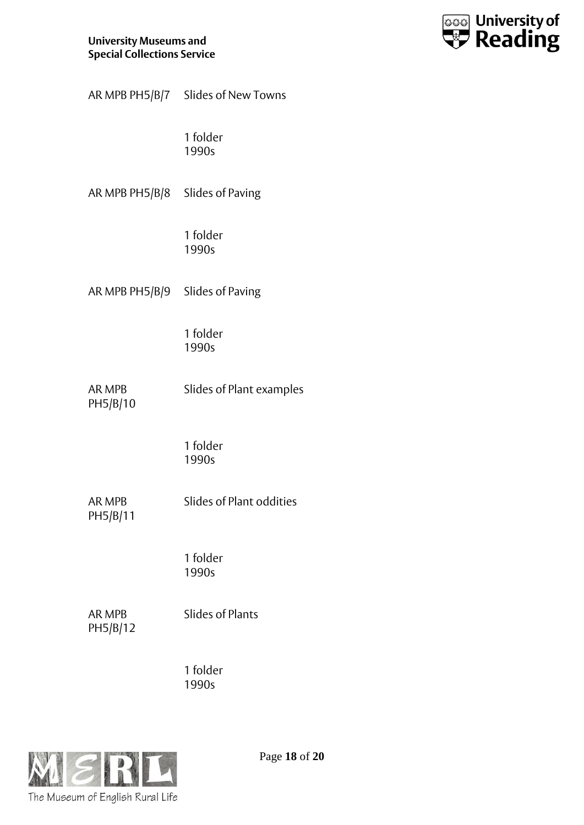

| AR MPB PH5/B/7 | Slides of New Towns |  |
|----------------|---------------------|--|

AR MPB PH5/B/8 Slides of Paving

1 folder 1990s

AR MPB PH5/B/9 Slides of Paving

1 folder 1990s

AR MPB PH5/B/10 Slides of Plant examples

> 1 folder 1990s

AR MPB PH5/B/11 Slides of Plant oddities

> 1 folder 1990s

AR MPB PH5/B/12 Slides of Plants

1 folder 1990s



Page **18** of **20**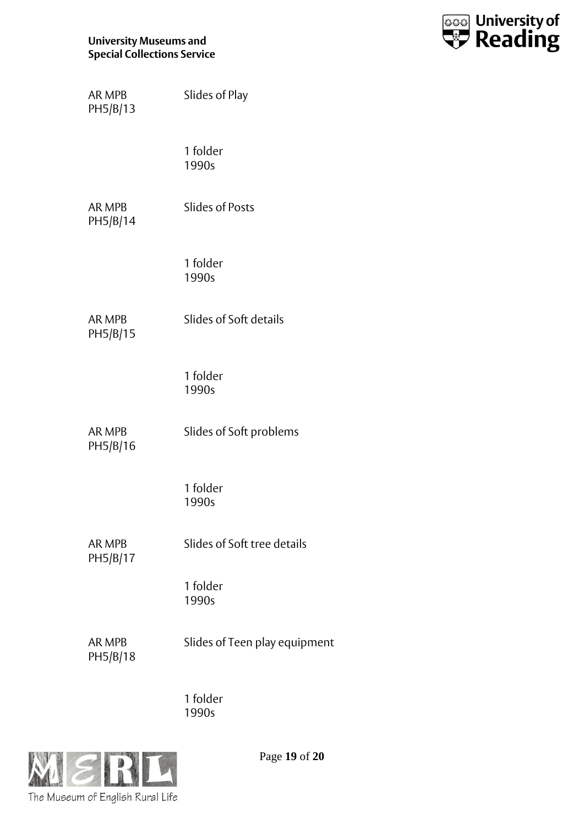

| AR MPB<br>PH5/B/13        | Slides of Play                |
|---------------------------|-------------------------------|
|                           | 1 folder<br>1990s             |
| AR MPB<br>PH5/B/14        | <b>Slides of Posts</b>        |
|                           | 1 folder<br>1990s             |
| AR MPB<br>PH5/B/15        | Slides of Soft details        |
|                           | 1 folder<br>1990s             |
| AR MPB<br>PH5/B/16        | Slides of Soft problems       |
|                           | 1 folder<br>1990s             |
| <b>AR MPB</b><br>PH5/B/17 | Slides of Soft tree details   |
|                           | 1 folder<br>1990s             |
| AR MPB<br>PH5/B/18        | Slides of Teen play equipment |
|                           |                               |



Page **19** of **20**